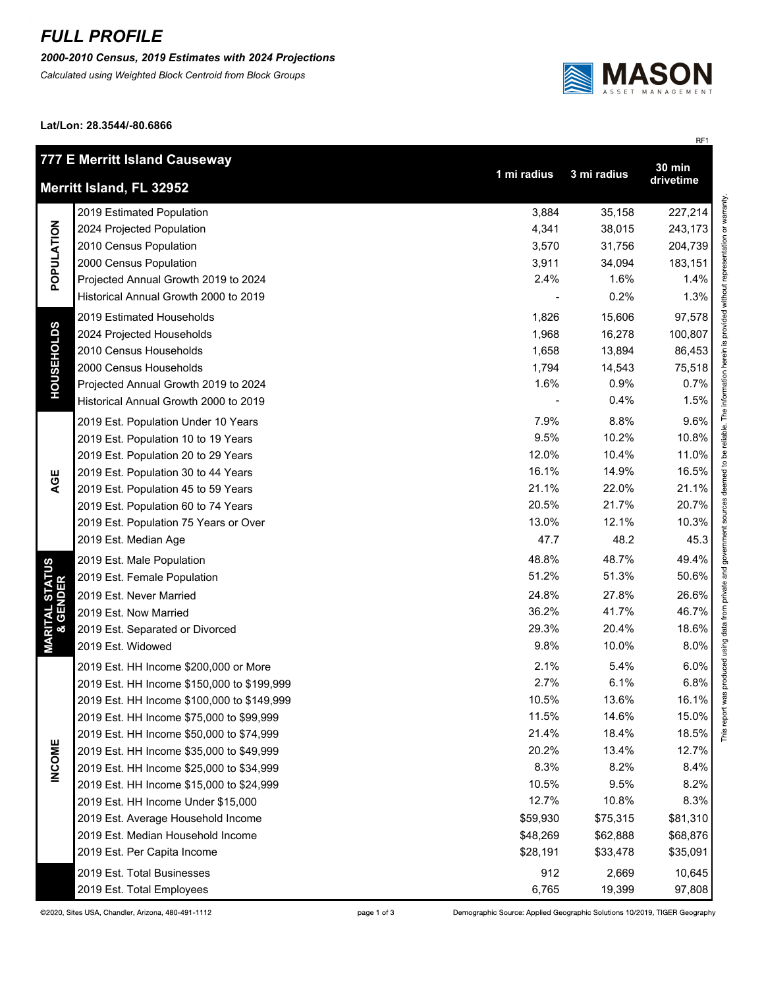## *FULL PROFILE*

*2000-2010 Census, 2019 Estimates with 2024 Projections*

*Calculated using Weighted Block Centroid from Block Groups*



RF1

**Lat/Lon: 28.3544/-80.6866**

| 777 E Merritt Island Causeway<br>$30 \text{ min}$                   |                                            |          |          |               |  |  |
|---------------------------------------------------------------------|--------------------------------------------|----------|----------|---------------|--|--|
| 1 mi radius<br>3 mi radius<br>drivetime<br>Merritt Island, FL 32952 |                                            |          |          |               |  |  |
| POPULATION                                                          | 2019 Estimated Population                  | 3,884    | 35,158   | 227,214       |  |  |
|                                                                     | 2024 Projected Population                  | 4,341    | 38,015   | 243,173       |  |  |
|                                                                     | 2010 Census Population                     | 3,570    | 31,756   | 204,739       |  |  |
|                                                                     | 2000 Census Population                     | 3,911    | 34,094   | 183,151       |  |  |
|                                                                     | Projected Annual Growth 2019 to 2024       | 2.4%     | 1.6%     | 1.4%          |  |  |
|                                                                     | Historical Annual Growth 2000 to 2019      |          | 0.2%     | 1.3%          |  |  |
| <b>HOUSEHOLDS</b>                                                   | 2019 Estimated Households                  | 1,826    | 15,606   | 97,578        |  |  |
|                                                                     | 2024 Projected Households                  | 1,968    | 16,278   | 100,807       |  |  |
|                                                                     | 2010 Census Households                     | 1,658    | 13,894   | 86,453        |  |  |
|                                                                     | 2000 Census Households                     | 1,794    | 14,543   | 75,518        |  |  |
|                                                                     | Projected Annual Growth 2019 to 2024       | 1.6%     | 0.9%     | 0.7%          |  |  |
|                                                                     | Historical Annual Growth 2000 to 2019      |          | 0.4%     | 1.5%          |  |  |
|                                                                     | 2019 Est. Population Under 10 Years        | 7.9%     | 8.8%     | 9.6%          |  |  |
|                                                                     | 2019 Est. Population 10 to 19 Years        | 9.5%     | 10.2%    | 10.8%         |  |  |
|                                                                     | 2019 Est. Population 20 to 29 Years        | 12.0%    | 10.4%    | 11.0%         |  |  |
|                                                                     | 2019 Est. Population 30 to 44 Years        | 16.1%    | 14.9%    | 16.5%         |  |  |
| AGE                                                                 | 2019 Est. Population 45 to 59 Years        | 21.1%    | 22.0%    | 21.1%         |  |  |
|                                                                     | 2019 Est. Population 60 to 74 Years        | 20.5%    | 21.7%    | 20.7%         |  |  |
|                                                                     | 2019 Est. Population 75 Years or Over      | 13.0%    | 12.1%    | 10.3%         |  |  |
|                                                                     | 2019 Est. Median Age                       | 47.7     | 48.2     | 45.3          |  |  |
|                                                                     | 2019 Est. Male Population                  | 48.8%    | 48.7%    | 49.4%         |  |  |
|                                                                     | 2019 Est. Female Population                | 51.2%    | 51.3%    | 50.6%         |  |  |
|                                                                     | 2019 Est. Never Married                    | 24.8%    | 27.8%    | 26.6%         |  |  |
|                                                                     | 2019 Est. Now Married                      | 36.2%    | 41.7%    | 46.7%         |  |  |
|                                                                     | 2019 Est. Separated or Divorced            | 29.3%    | 20.4%    | 18.6%         |  |  |
| <b>MARITAL STATUS<br/>&amp; GENDER</b>                              | 2019 Est. Widowed                          | 9.8%     | 10.0%    | 8.0%          |  |  |
|                                                                     | 2019 Est. HH Income \$200,000 or More      | 2.1%     | 5.4%     | 6.0%          |  |  |
|                                                                     | 2019 Est. HH Income \$150,000 to \$199,999 | 2.7%     | 6.1%     | 6.8%          |  |  |
|                                                                     | 2019 Est. HH Income \$100,000 to \$149,999 | 10.5%    | 13.6%    | 16.1%         |  |  |
|                                                                     | 2019 Est. HH Income \$75,000 to \$99,999   | 11.5%    | 14.6%    | 15.0%         |  |  |
|                                                                     | 2019 Est. HH Income \$50,000 to \$74,999   | 21.4%    | 18.4%    | This<br>18.5% |  |  |
|                                                                     | 2019 Est. HH Income \$35,000 to \$49,999   | 20.2%    | 13.4%    | 12.7%         |  |  |
| <b>INCOME</b>                                                       | 2019 Est. HH Income \$25,000 to \$34,999   | 8.3%     | 8.2%     | 8.4%          |  |  |
|                                                                     | 2019 Est. HH Income \$15,000 to \$24,999   | 10.5%    | 9.5%     | 8.2%          |  |  |
|                                                                     | 2019 Est. HH Income Under \$15,000         | 12.7%    | 10.8%    | 8.3%          |  |  |
|                                                                     | 2019 Est. Average Household Income         | \$59,930 | \$75,315 | \$81,310      |  |  |
|                                                                     | 2019 Est. Median Household Income          | \$48,269 | \$62,888 | \$68,876      |  |  |
|                                                                     | 2019 Est. Per Capita Income                | \$28,191 | \$33,478 | \$35,091      |  |  |
|                                                                     | 2019 Est. Total Businesses                 | 912      | 2,669    | 10,645        |  |  |
|                                                                     | 2019 Est. Total Employees                  | 6,765    | 19,399   | 97,808        |  |  |

Demographic Source: Applied Geographic Solutions 10/2019, TIGER Geography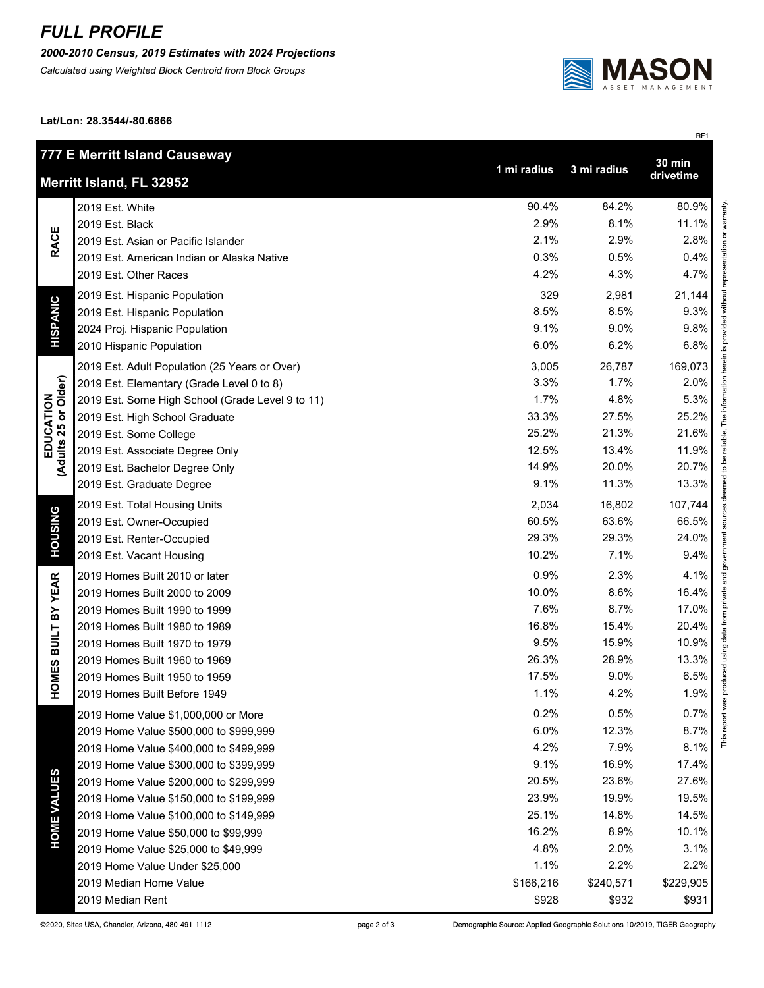## *FULL PROFILE*

## *2000-2010 Census, 2019 Estimates with 2024 Projections*

*Calculated using Weighted Block Centroid from Block Groups*



RF1

**Lat/Lon: 28.3544/-80.6866**

| 777 E Merritt Island Causeway<br>$30 \text{ min}$                   |                                                  |           |           |           |
|---------------------------------------------------------------------|--------------------------------------------------|-----------|-----------|-----------|
| 1 mi radius<br>3 mi radius<br>drivetime<br>Merritt Island, FL 32952 |                                                  |           |           |           |
|                                                                     | 2019 Est. White                                  | 90.4%     | 84.2%     | 80.9%     |
| <b>RACE</b>                                                         | 2019 Est. Black                                  | 2.9%      | 8.1%      | 11.1%     |
|                                                                     | 2019 Est. Asian or Pacific Islander              | 2.1%      | 2.9%      | 2.8%      |
|                                                                     | 2019 Est. American Indian or Alaska Native       | 0.3%      | 0.5%      | 0.4%      |
|                                                                     | 2019 Est. Other Races                            | 4.2%      | 4.3%      | 4.7%      |
| HISPANIC                                                            | 2019 Est. Hispanic Population                    | 329       | 2,981     | 21,144    |
|                                                                     | 2019 Est. Hispanic Population                    | 8.5%      | 8.5%      | 9.3%      |
|                                                                     | 2024 Proj. Hispanic Population                   | 9.1%      | 9.0%      | 9.8%      |
|                                                                     | 2010 Hispanic Population                         | 6.0%      | 6.2%      | 6.8%      |
|                                                                     | 2019 Est. Adult Population (25 Years or Over)    | 3,005     | 26,787    | 169,073   |
|                                                                     | 2019 Est. Elementary (Grade Level 0 to 8)        | 3.3%      | 1.7%      | 2.0%      |
| EDUCATION<br>(Adults 25 or Older)                                   | 2019 Est. Some High School (Grade Level 9 to 11) | 1.7%      | 4.8%      | 5.3%      |
|                                                                     | 2019 Est. High School Graduate                   | 33.3%     | 27.5%     | 25.2%     |
|                                                                     | 2019 Est. Some College                           | 25.2%     | 21.3%     | 21.6%     |
|                                                                     | 2019 Est. Associate Degree Only                  | 12.5%     | 13.4%     | 11.9%     |
|                                                                     | 2019 Est. Bachelor Degree Only                   | 14.9%     | 20.0%     | 20.7%     |
|                                                                     | 2019 Est. Graduate Degree                        | 9.1%      | 11.3%     | 13.3%     |
|                                                                     | 2019 Est. Total Housing Units                    | 2,034     | 16,802    | 107,744   |
| <b>HOUSING</b>                                                      | 2019 Est. Owner-Occupied                         | 60.5%     | 63.6%     | 66.5%     |
|                                                                     | 2019 Est. Renter-Occupied                        | 29.3%     | 29.3%     | 24.0%     |
|                                                                     | 2019 Est. Vacant Housing                         | 10.2%     | 7.1%      | 9.4%      |
|                                                                     | 2019 Homes Built 2010 or later                   | 0.9%      | 2.3%      | 4.1%      |
| <b>HOMES BUILT BY YEAR</b>                                          | 2019 Homes Built 2000 to 2009                    | 10.0%     | 8.6%      | 16.4%     |
|                                                                     | 2019 Homes Built 1990 to 1999                    | 7.6%      | 8.7%      | 17.0%     |
|                                                                     | 2019 Homes Built 1980 to 1989                    | 16.8%     | 15.4%     | 20.4%     |
|                                                                     | 2019 Homes Built 1970 to 1979                    | 9.5%      | 15.9%     | 10.9%     |
|                                                                     | 2019 Homes Built 1960 to 1969                    | 26.3%     | 28.9%     | 13.3%     |
|                                                                     | 2019 Homes Built 1950 to 1959                    | 17.5%     | 9.0%      | 6.5%      |
|                                                                     | 2019 Homes Built Before 1949                     | 1.1%      | 4.2%      | 1.9%      |
|                                                                     | 2019 Home Value \$1,000,000 or More              | 0.2%      | 0.5%      | 0.7%      |
|                                                                     | 2019 Home Value \$500,000 to \$999,999           | 6.0%      | 12.3%     | 8.7%      |
|                                                                     | 2019 Home Value \$400,000 to \$499,999           | 4.2%      | 7.9%      | 8.1%      |
| <b>HOME VALUES</b>                                                  | 2019 Home Value \$300,000 to \$399,999           | 9.1%      | 16.9%     | 17.4%     |
|                                                                     | 2019 Home Value \$200,000 to \$299,999           | 20.5%     | 23.6%     | 27.6%     |
|                                                                     | 2019 Home Value \$150,000 to \$199,999           | 23.9%     | 19.9%     | 19.5%     |
|                                                                     | 2019 Home Value \$100,000 to \$149,999           | 25.1%     | 14.8%     | 14.5%     |
|                                                                     | 2019 Home Value \$50,000 to \$99,999             | 16.2%     | 8.9%      | 10.1%     |
|                                                                     | 2019 Home Value \$25,000 to \$49,999             | 4.8%      | 2.0%      | 3.1%      |
|                                                                     | 2019 Home Value Under \$25,000                   | 1.1%      | 2.2%      | 2.2%      |
|                                                                     | 2019 Median Home Value                           | \$166,216 | \$240,571 | \$229,905 |
|                                                                     | 2019 Median Rent                                 | \$928     | \$932     | \$931     |

Demographic Source: Applied Geographic Solutions 10/2019, TIGER Geography